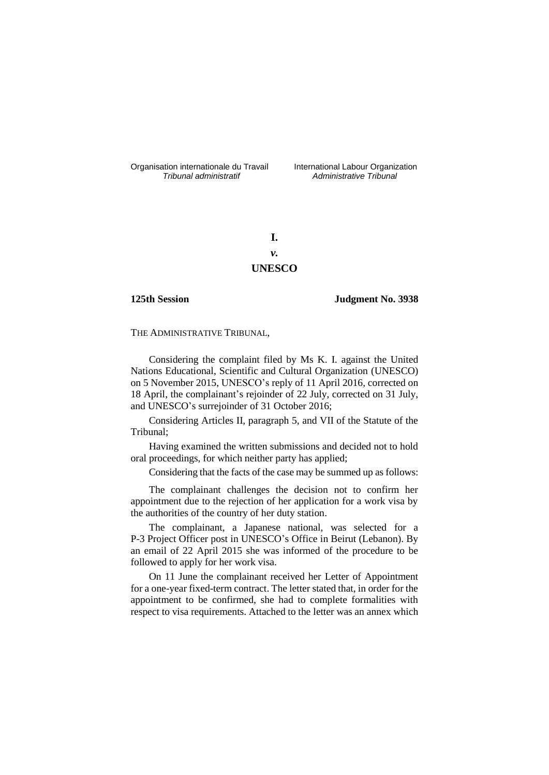Organisation internationale du Travail International Labour Organization<br>*Tribunal administratif Administrative Tribunal* 

*Tribunal administratif Administrative Tribunal*

**I.** *v.* **UNESCO**

**125th Session Judgment No. 3938**

THE ADMINISTRATIVE TRIBUNAL,

Considering the complaint filed by Ms K. I. against the United Nations Educational, Scientific and Cultural Organization (UNESCO) on 5 November 2015, UNESCO's reply of 11 April 2016, corrected on 18 April, the complainant's rejoinder of 22 July, corrected on 31 July, and UNESCO's surrejoinder of 31 October 2016;

Considering Articles II, paragraph 5, and VII of the Statute of the Tribunal;

Having examined the written submissions and decided not to hold oral proceedings, for which neither party has applied;

Considering that the facts of the case may be summed up as follows:

The complainant challenges the decision not to confirm her appointment due to the rejection of her application for a work visa by the authorities of the country of her duty station.

The complainant, a Japanese national, was selected for a P-3 Project Officer post in UNESCO's Office in Beirut (Lebanon). By an email of 22 April 2015 she was informed of the procedure to be followed to apply for her work visa.

On 11 June the complainant received her Letter of Appointment for a one-year fixed-term contract. The letter stated that, in order for the appointment to be confirmed, she had to complete formalities with respect to visa requirements. Attached to the letter was an annex which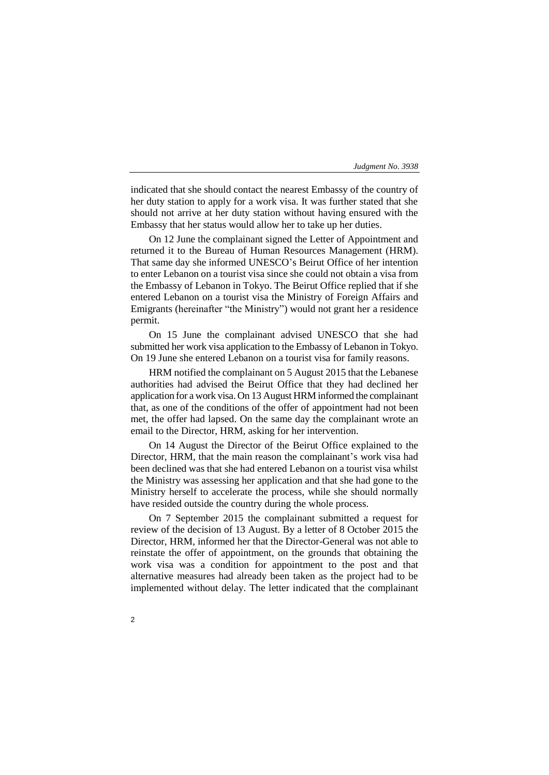indicated that she should contact the nearest Embassy of the country of her duty station to apply for a work visa. It was further stated that she should not arrive at her duty station without having ensured with the Embassy that her status would allow her to take up her duties.

On 12 June the complainant signed the Letter of Appointment and returned it to the Bureau of Human Resources Management (HRM). That same day she informed UNESCO's Beirut Office of her intention to enter Lebanon on a tourist visa since she could not obtain a visa from the Embassy of Lebanon in Tokyo. The Beirut Office replied that if she entered Lebanon on a tourist visa the Ministry of Foreign Affairs and Emigrants (hereinafter "the Ministry") would not grant her a residence permit.

On 15 June the complainant advised UNESCO that she had submitted her work visa application to the Embassy of Lebanon in Tokyo. On 19 June she entered Lebanon on a tourist visa for family reasons.

HRM notified the complainant on 5 August 2015 that the Lebanese authorities had advised the Beirut Office that they had declined her application for a work visa. On 13 August HRM informed the complainant that, as one of the conditions of the offer of appointment had not been met, the offer had lapsed. On the same day the complainant wrote an email to the Director, HRM, asking for her intervention.

On 14 August the Director of the Beirut Office explained to the Director, HRM, that the main reason the complainant's work visa had been declined was that she had entered Lebanon on a tourist visa whilst the Ministry was assessing her application and that she had gone to the Ministry herself to accelerate the process, while she should normally have resided outside the country during the whole process.

On 7 September 2015 the complainant submitted a request for review of the decision of 13 August. By a letter of 8 October 2015 the Director, HRM, informed her that the Director-General was not able to reinstate the offer of appointment, on the grounds that obtaining the work visa was a condition for appointment to the post and that alternative measures had already been taken as the project had to be implemented without delay. The letter indicated that the complainant

 $\overline{2}$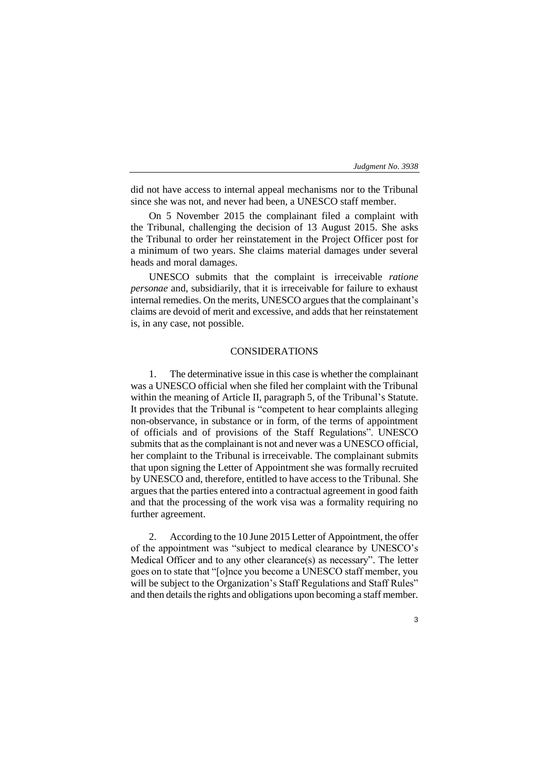did not have access to internal appeal mechanisms nor to the Tribunal since she was not, and never had been, a UNESCO staff member.

On 5 November 2015 the complainant filed a complaint with the Tribunal, challenging the decision of 13 August 2015. She asks the Tribunal to order her reinstatement in the Project Officer post for a minimum of two years. She claims material damages under several heads and moral damages.

UNESCO submits that the complaint is irreceivable *ratione personae* and, subsidiarily, that it is irreceivable for failure to exhaust internal remedies. On the merits, UNESCO argues that the complainant's claims are devoid of merit and excessive, and adds that her reinstatement is, in any case, not possible.

## CONSIDERATIONS

1. The determinative issue in this case is whether the complainant was a UNESCO official when she filed her complaint with the Tribunal within the meaning of Article II, paragraph 5, of the Tribunal's Statute. It provides that the Tribunal is "competent to hear complaints alleging non-observance, in substance or in form, of the terms of appointment of officials and of provisions of the Staff Regulations". UNESCO submits that as the complainant is not and never was a UNESCO official, her complaint to the Tribunal is irreceivable. The complainant submits that upon signing the Letter of Appointment she was formally recruited by UNESCO and, therefore, entitled to have access to the Tribunal. She argues that the parties entered into a contractual agreement in good faith and that the processing of the work visa was a formality requiring no further agreement.

2. According to the 10 June 2015 Letter of Appointment, the offer of the appointment was "subject to medical clearance by UNESCO's Medical Officer and to any other clearance(s) as necessary". The letter goes on to state that "[o]nce you become a UNESCO staff member, you will be subject to the Organization's Staff Regulations and Staff Rules" and then details the rights and obligations upon becoming a staff member.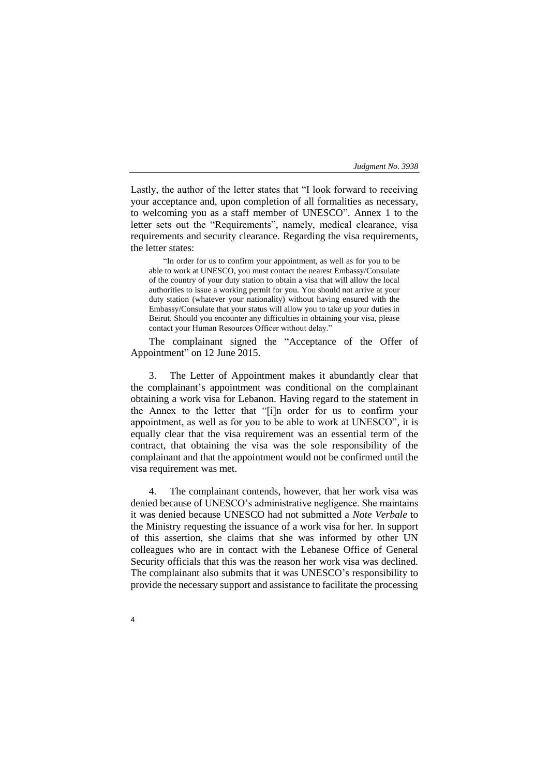Lastly, the author of the letter states that "I look forward to receiving your acceptance and, upon completion of all formalities as necessary, to welcoming you as a staff member of UNESCO". Annex 1 to the letter sets out the "Requirements", namely, medical clearance, visa requirements and security clearance. Regarding the visa requirements, the letter states:

"In order for us to confirm your appointment, as well as for you to be able to work at UNESCO, you must contact the nearest Embassy/Consulate of the country of your duty station to obtain a visa that will allow the local authorities to issue a working permit for you. You should not arrive at your duty station (whatever your nationality) without having ensured with the Embassy/Consulate that your status will allow you to take up your duties in Beirut. Should you encounter any difficulties in obtaining your visa, please contact your Human Resources Officer without delay."

The complainant signed the "Acceptance of the Offer of Appointment" on 12 June 2015.

3. The Letter of Appointment makes it abundantly clear that the complainant's appointment was conditional on the complainant obtaining a work visa for Lebanon. Having regard to the statement in the Annex to the letter that "[i]n order for us to confirm your appointment, as well as for you to be able to work at UNESCO", it is equally clear that the visa requirement was an essential term of the contract, that obtaining the visa was the sole responsibility of the complainant and that the appointment would not be confirmed until the visa requirement was met.

4. The complainant contends, however, that her work visa was denied because of UNESCO's administrative negligence. She maintains it was denied because UNESCO had not submitted a *Note Verbale* to the Ministry requesting the issuance of a work visa for her. In support of this assertion, she claims that she was informed by other UN colleagues who are in contact with the Lebanese Office of General Security officials that this was the reason her work visa was declined. The complainant also submits that it was UNESCO's responsibility to provide the necessary support and assistance to facilitate the processing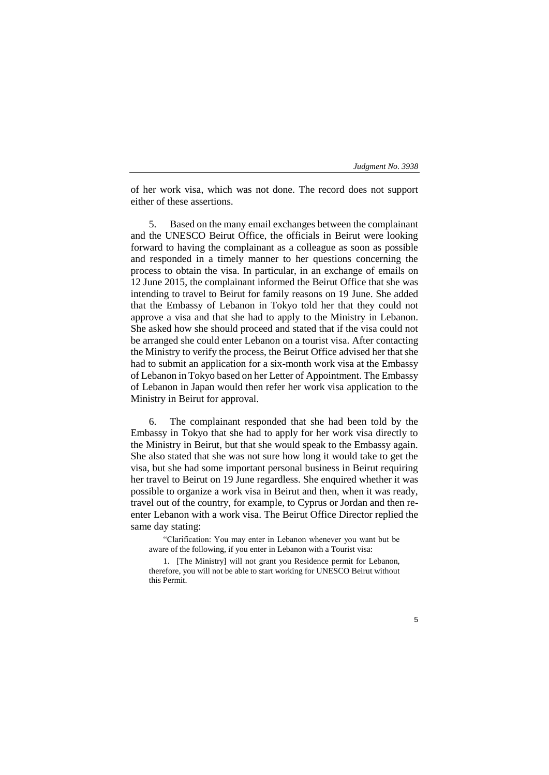of her work visa, which was not done. The record does not support either of these assertions.

5. Based on the many email exchanges between the complainant and the UNESCO Beirut Office, the officials in Beirut were looking forward to having the complainant as a colleague as soon as possible and responded in a timely manner to her questions concerning the process to obtain the visa. In particular, in an exchange of emails on 12 June 2015, the complainant informed the Beirut Office that she was intending to travel to Beirut for family reasons on 19 June. She added that the Embassy of Lebanon in Tokyo told her that they could not approve a visa and that she had to apply to the Ministry in Lebanon. She asked how she should proceed and stated that if the visa could not be arranged she could enter Lebanon on a tourist visa. After contacting the Ministry to verify the process, the Beirut Office advised her that she had to submit an application for a six-month work visa at the Embassy of Lebanon in Tokyo based on her Letter of Appointment. The Embassy of Lebanon in Japan would then refer her work visa application to the Ministry in Beirut for approval.

6. The complainant responded that she had been told by the Embassy in Tokyo that she had to apply for her work visa directly to the Ministry in Beirut, but that she would speak to the Embassy again. She also stated that she was not sure how long it would take to get the visa, but she had some important personal business in Beirut requiring her travel to Beirut on 19 June regardless. She enquired whether it was possible to organize a work visa in Beirut and then, when it was ready, travel out of the country, for example, to Cyprus or Jordan and then reenter Lebanon with a work visa. The Beirut Office Director replied the same day stating:

"Clarification: You may enter in Lebanon whenever you want but be aware of the following, if you enter in Lebanon with a Tourist visa:

1. [The Ministry] will not grant you Residence permit for Lebanon, therefore, you will not be able to start working for UNESCO Beirut without this Permit.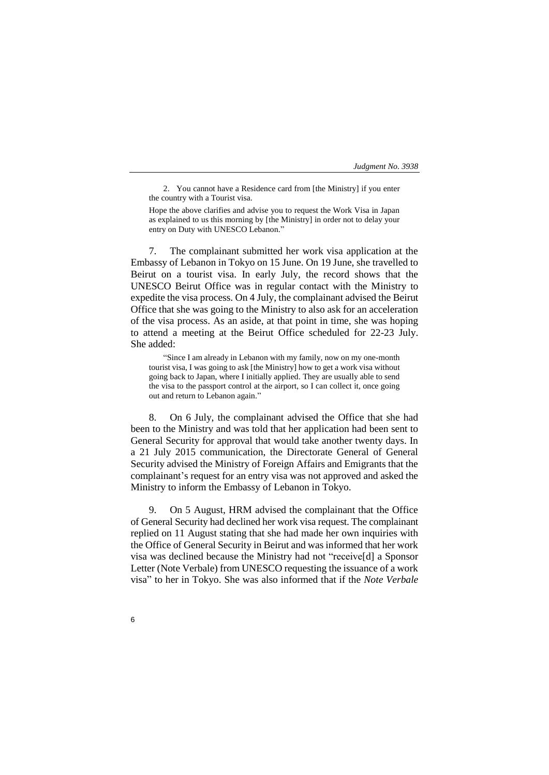2. You cannot have a Residence card from [the Ministry] if you enter the country with a Tourist visa.

Hope the above clarifies and advise you to request the Work Visa in Japan as explained to us this morning by [the Ministry] in order not to delay your entry on Duty with UNESCO Lebanon."

7. The complainant submitted her work visa application at the Embassy of Lebanon in Tokyo on 15 June. On 19 June, she travelled to Beirut on a tourist visa. In early July, the record shows that the UNESCO Beirut Office was in regular contact with the Ministry to expedite the visa process. On 4 July, the complainant advised the Beirut Office that she was going to the Ministry to also ask for an acceleration of the visa process. As an aside, at that point in time, she was hoping to attend a meeting at the Beirut Office scheduled for 22-23 July. She added:

"Since I am already in Lebanon with my family, now on my one-month tourist visa, I was going to ask [the Ministry] how to get a work visa without going back to Japan, where I initially applied. They are usually able to send the visa to the passport control at the airport, so I can collect it, once going out and return to Lebanon again."

8. On 6 July, the complainant advised the Office that she had been to the Ministry and was told that her application had been sent to General Security for approval that would take another twenty days. In a 21 July 2015 communication, the Directorate General of General Security advised the Ministry of Foreign Affairs and Emigrants that the complainant's request for an entry visa was not approved and asked the Ministry to inform the Embassy of Lebanon in Tokyo.

9. On 5 August, HRM advised the complainant that the Office of General Security had declined her work visa request. The complainant replied on 11 August stating that she had made her own inquiries with the Office of General Security in Beirut and was informed that her work visa was declined because the Ministry had not "receive[d] a Sponsor Letter (Note Verbale) from UNESCO requesting the issuance of a work visa" to her in Tokyo. She was also informed that if the *Note Verbale*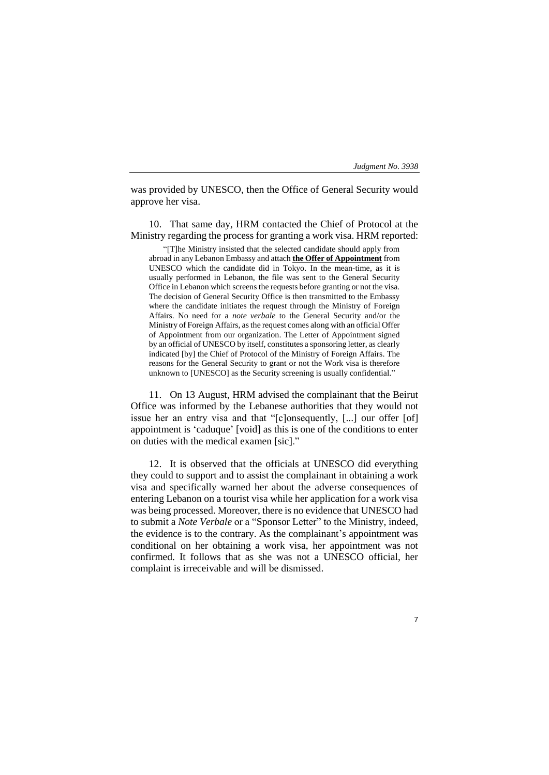7

was provided by UNESCO, then the Office of General Security would approve her visa.

10. That same day, HRM contacted the Chief of Protocol at the Ministry regarding the process for granting a work visa. HRM reported:

"[T]he Ministry insisted that the selected candidate should apply from abroad in any Lebanon Embassy and attach **the Offer of Appointment** from UNESCO which the candidate did in Tokyo. In the mean-time, as it is usually performed in Lebanon, the file was sent to the General Security Office in Lebanon which screens the requests before granting or not the visa. The decision of General Security Office is then transmitted to the Embassy where the candidate initiates the request through the Ministry of Foreign Affairs. No need for a *note verbale* to the General Security and/or the Ministry of Foreign Affairs, as the request comes along with an official Offer of Appointment from our organization. The Letter of Appointment signed by an official of UNESCO by itself, constitutes a sponsoring letter, as clearly indicated [by] the Chief of Protocol of the Ministry of Foreign Affairs. The reasons for the General Security to grant or not the Work visa is therefore unknown to [UNESCO] as the Security screening is usually confidential."

11. On 13 August, HRM advised the complainant that the Beirut Office was informed by the Lebanese authorities that they would not issue her an entry visa and that "[c]onsequently, [...] our offer [of] appointment is 'caduque' [void] as this is one of the conditions to enter on duties with the medical examen [sic]."

12. It is observed that the officials at UNESCO did everything they could to support and to assist the complainant in obtaining a work visa and specifically warned her about the adverse consequences of entering Lebanon on a tourist visa while her application for a work visa was being processed. Moreover, there is no evidence that UNESCO had to submit a *Note Verbale* or a "Sponsor Letter" to the Ministry, indeed, the evidence is to the contrary. As the complainant's appointment was conditional on her obtaining a work visa, her appointment was not confirmed. It follows that as she was not a UNESCO official, her complaint is irreceivable and will be dismissed.